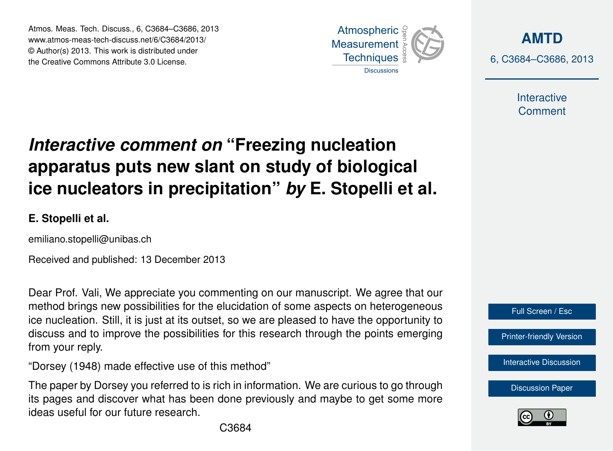Atmos. Meas. Tech. Discuss., 6, C3684–C3686, 2013 www.atmos-meas-tech-discuss.net/6/C3684/2013/ www.atmos-meas-tech-discuss.net/o/C3664/2013/<br>© Author(s) 2013. This work is distributed under the Creative Commons Attribute 3.0 License.



**[AMTD](http://www.atmos-meas-tech-discuss.net)** 6, C3684–C3686, 2013

> Interactive **Comment**

## **Interactive comment on "Freezing nucleation** ow clant on ctudy of hiologic ،<br>آ  $\ddot{\cdot}$ apparatus puts new slant on study of biological Earth System Open Access  $\overline{a}$ ice nucleators in precipitation" *by* E. Stopelli et al.

**E. Stopelli et al.**

emiliano.stopelli@unibas.ch

Received and published: 13 December 2013  $\frac{1}{2}$ 

Data Systems Data Systems Dear Prof. Vali, We appreciate you commenting on our manuscript. We agree that our ice nucleation. Still, it is just at its outset, so we are pleased to have the opportunity to discuss and to improve the possibilities for this research through the points emerging u<br>o<br>fc g<br>rt<br>er method brings new possibilities for the elucidation of some aspects on heterogeneous from your reply.

"Dorsey (1948) made effective use of this method"

Ocean Science

Earth System Earth System Sciences a<br>h The paper by Dorsey you referred to is rich in information. We are curious to go through  $\overline{\phantom{0}}$ its pages and discover what has been done previously and maybe to get some more ideas useful for our future research.



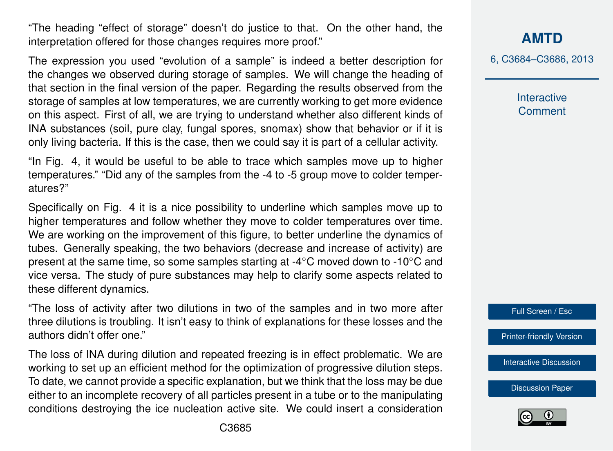"The heading "effect of storage" doesn't do justice to that. On the other hand, the interpretation offered for those changes requires more proof."

The expression you used "evolution of a sample" is indeed a better description for the changes we observed during storage of samples. We will change the heading of that section in the final version of the paper. Regarding the results observed from the storage of samples at low temperatures, we are currently working to get more evidence on this aspect. First of all, we are trying to understand whether also different kinds of INA substances (soil, pure clay, fungal spores, snomax) show that behavior or if it is only living bacteria. If this is the case, then we could say it is part of a cellular activity.

"In Fig. 4, it would be useful to be able to trace which samples move up to higher temperatures." "Did any of the samples from the -4 to -5 group move to colder temperatures?"

Specifically on Fig. 4 it is a nice possibility to underline which samples move up to higher temperatures and follow whether they move to colder temperatures over time. We are working on the improvement of this figure, to better underline the dynamics of tubes. Generally speaking, the two behaviors (decrease and increase of activity) are present at the same time, so some samples starting at -4◦C moved down to -10◦C and vice versa. The study of pure substances may help to clarify some aspects related to these different dynamics.

"The loss of activity after two dilutions in two of the samples and in two more after three dilutions is troubling. It isn't easy to think of explanations for these losses and the authors didn't offer one."

The loss of INA during dilution and repeated freezing is in effect problematic. We are working to set up an efficient method for the optimization of progressive dilution steps. To date, we cannot provide a specific explanation, but we think that the loss may be due either to an incomplete recovery of all particles present in a tube or to the manipulating conditions destroying the ice nucleation active site. We could insert a consideration **[AMTD](http://www.atmos-meas-tech-discuss.net)**

6, C3684–C3686, 2013

**Interactive Comment** 

Full Screen / Esc

[Printer-friendly Version](http://www.atmos-meas-tech-discuss.net/6/C3684/2013/amtd-6-C3684-2013-print.pdf)

[Interactive Discussion](http://www.atmos-meas-tech-discuss.net/6/9163/2013/amtd-6-9163-2013-discussion.html)

[Discussion Paper](http://www.atmos-meas-tech-discuss.net/6/9163/2013/amtd-6-9163-2013.pdf)